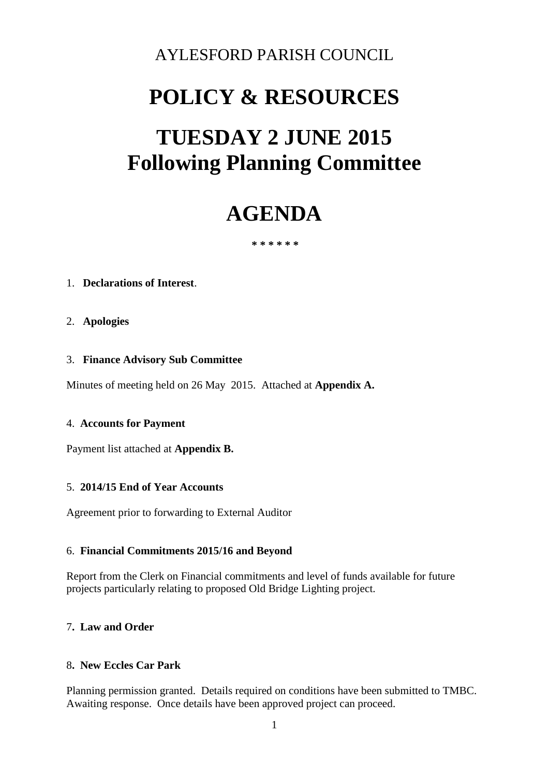# AYLESFORD PARISH COUNCIL

# **POLICY & RESOURCES**

# **TUESDAY 2 JUNE 2015 Following Planning Committee**

# **AGENDA**

 **\* \* \* \* \* \*** 

#### 1. **Declarations of Interest**.

### 2. **Apologies**

#### 3. **Finance Advisory Sub Committee**

Minutes of meeting held on 26 May 2015. Attached at **Appendix A.** 

#### 4. **Accounts for Payment**

Payment list attached at **Appendix B.** 

# 5. **2014/15 End of Year Accounts**

Agreement prior to forwarding to External Auditor

# 6. **Financial Commitments 2015/16 and Beyond**

Report from the Clerk on Financial commitments and level of funds available for future projects particularly relating to proposed Old Bridge Lighting project.

# 7**. Law and Order**

# 8**. New Eccles Car Park**

Planning permission granted. Details required on conditions have been submitted to TMBC. Awaiting response. Once details have been approved project can proceed.